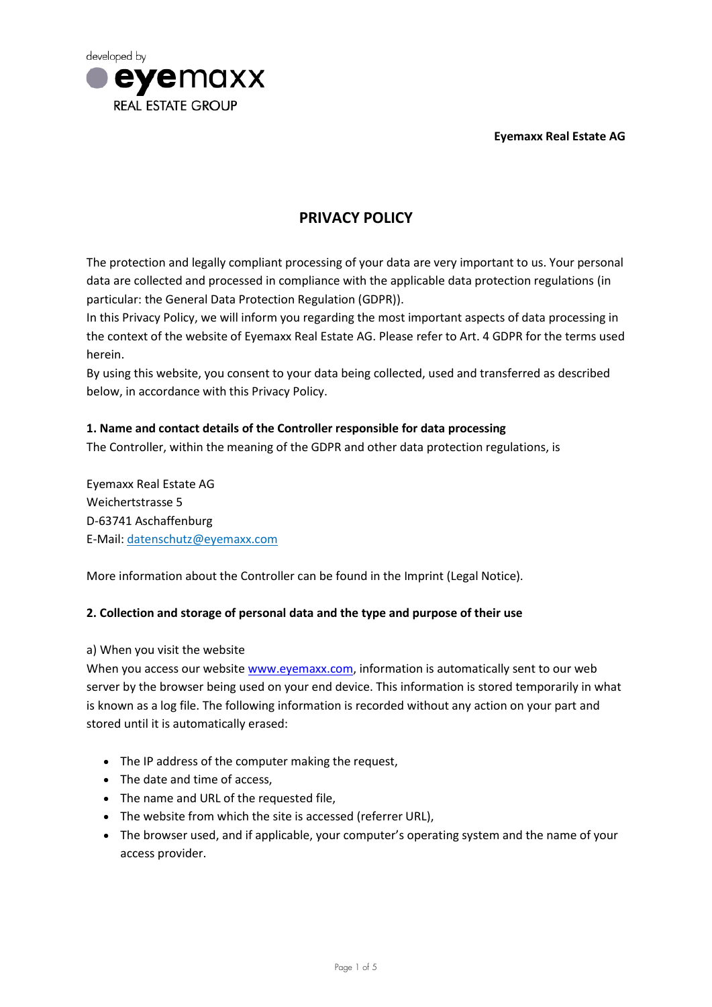**Eyemaxx Real Estate AG**



# **PRIVACY POLICY**

The protection and legally compliant processing of your data are very important to us. Your personal data are collected and processed in compliance with the applicable data protection regulations (in particular: the General Data Protection Regulation (GDPR)).

In this Privacy Policy, we will inform you regarding the most important aspects of data processing in the context of the website of Eyemaxx Real Estate AG. Please refer to Art. 4 GDPR for the terms used herein.

By using this website, you consent to your data being collected, used and transferred as described below, in accordance with this Privacy Policy.

# **1. Name and contact details of the Controller responsible for data processing**

The Controller, within the meaning of the GDPR and other data protection regulations, is

Eyemaxx Real Estate AG Weichertstrasse 5 D-63741 Aschaffenburg E-Mail: [datenschutz@eyemaxx.com](mailto:datenschutz@eyemaxx.com)

More information about the Controller can be found in the Imprint (Legal Notice).

## **2. Collection and storage of personal data and the type and purpose of their use**

a) When you visit the website

When you access our website www.eyemaxx.com, information is automatically sent to our web server by the browser being used on your end device. This information is stored temporarily in what is known as a log file. The following information is recorded without any action on your part and stored until it is automatically erased:

- The IP address of the computer making the request,
- The date and time of access,
- The name and URL of the requested file,
- The website from which the site is accessed (referrer URL),
- The browser used, and if applicable, your computer's operating system and the name of your access provider.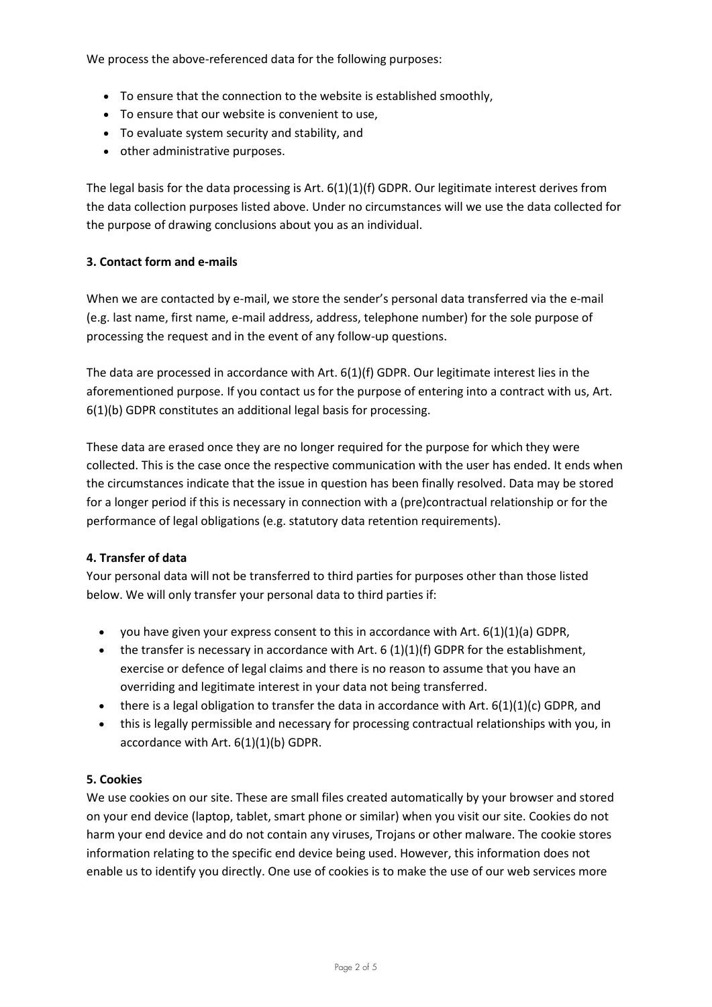We process the above-referenced data for the following purposes:

- To ensure that the connection to the website is established smoothly,
- To ensure that our website is convenient to use,
- To evaluate system security and stability, and
- other administrative purposes.

The legal basis for the data processing is Art.  $6(1)(1)(f)$  GDPR. Our legitimate interest derives from the data collection purposes listed above. Under no circumstances will we use the data collected for the purpose of drawing conclusions about you as an individual.

#### **3. Contact form and e-mails**

When we are contacted by e-mail, we store the sender's personal data transferred via the e-mail (e.g. last name, first name, e-mail address, address, telephone number) for the sole purpose of processing the request and in the event of any follow-up questions.

The data are processed in accordance with Art. 6(1)(f) GDPR. Our legitimate interest lies in the aforementioned purpose. If you contact us for the purpose of entering into a contract with us, Art. 6(1)(b) GDPR constitutes an additional legal basis for processing.

These data are erased once they are no longer required for the purpose for which they were collected. This is the case once the respective communication with the user has ended. It ends when the circumstances indicate that the issue in question has been finally resolved. Data may be stored for a longer period if this is necessary in connection with a (pre)contractual relationship or for the performance of legal obligations (e.g. statutory data retention requirements).

## **4. Transfer of data**

Your personal data will not be transferred to third parties for purposes other than those listed below. We will only transfer your personal data to third parties if:

- you have given your express consent to this in accordance with Art.  $6(1)(1)(a)$  GDPR,
- $\bullet$  the transfer is necessary in accordance with Art. 6 (1)(1)(f) GDPR for the establishment, exercise or defence of legal claims and there is no reason to assume that you have an overriding and legitimate interest in your data not being transferred.
- $\bullet$  there is a legal obligation to transfer the data in accordance with Art. 6(1)(1)(c) GDPR, and
- this is legally permissible and necessary for processing contractual relationships with you, in accordance with Art. 6(1)(1)(b) GDPR.

## **5. Cookies**

We use cookies on our site. These are small files created automatically by your browser and stored on your end device (laptop, tablet, smart phone or similar) when you visit our site. Cookies do not harm your end device and do not contain any viruses, Trojans or other malware. The cookie stores information relating to the specific end device being used. However, this information does not enable us to identify you directly. One use of cookies is to make the use of our web services more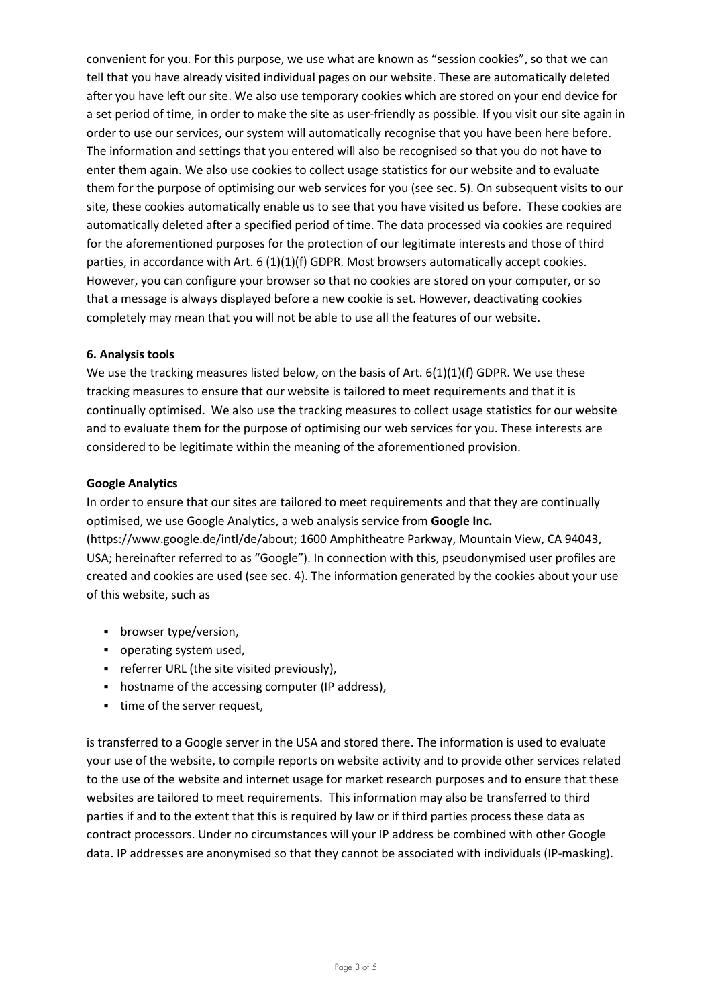convenient for you. For this purpose, we use what are known as "session cookies", so that we can tell that you have already visited individual pages on our website. These are automatically deleted after you have left our site. We also use temporary cookies which are stored on your end device for a set period of time, in order to make the site as user-friendly as possible. If you visit our site again in order to use our services, our system will automatically recognise that you have been here before. The information and settings that you entered will also be recognised so that you do not have to enter them again. We also use cookies to collect usage statistics for our website and to evaluate them for the purpose of optimising our web services for you (see sec. 5). On subsequent visits to our site, these cookies automatically enable us to see that you have visited us before. These cookies are automatically deleted after a specified period of time. The data processed via cookies are required for the aforementioned purposes for the protection of our legitimate interests and those of third parties, in accordance with Art.  $6 \left( 1 \right) \left( 1 \right) \left( 6 \right)$  GDPR. Most browsers automatically accept cookies. However, you can configure your browser so that no cookies are stored on your computer, or so that a message is always displayed before a new cookie is set. However, deactivating cookies completely may mean that you will not be able to use all the features of our website.

## **6. Analysis tools**

We use the tracking measures listed below, on the basis of Art. 6(1)(1)(f) GDPR. We use these tracking measures to ensure that our website is tailored to meet requirements and that it is continually optimised. We also use the tracking measures to collect usage statistics for our website and to evaluate them for the purpose of optimising our web services for you. These interests are considered to be legitimate within the meaning of the aforementioned provision.

#### **Google Analytics**

In order to ensure that our sites are tailored to meet requirements and that they are continually optimised, we use Google Analytics, a web analysis service from **Google Inc.** [\(https://www.google.de/intl/de/about;](https://www.google.de/intl/de/about/) 1600 Amphitheatre Parkway, Mountain View, CA 94043, USA; hereinafter referred to as "Google"). In connection with this, pseudonymised user profiles are created and cookies are used (see sec. 4). The information generated by the cookies about your use of this website, such as

- **•** browser type/version,
- **•** operating system used,
- **F** referrer URL (the site visited previously),
- hostname of the accessing computer (IP address),
- **time of the server request.**

is transferred to a Google server in the USA and stored there. The information is used to evaluate your use of the website, to compile reports on website activity and to provide other services related to the use of the website and internet usage for market research purposes and to ensure that these websites are tailored to meet requirements. This information may also be transferred to third parties if and to the extent that this is required by law or if third parties process these data as contract processors. Under no circumstances will your IP address be combined with other Google data. IP addresses are anonymised so that they cannot be associated with individuals (IP-masking).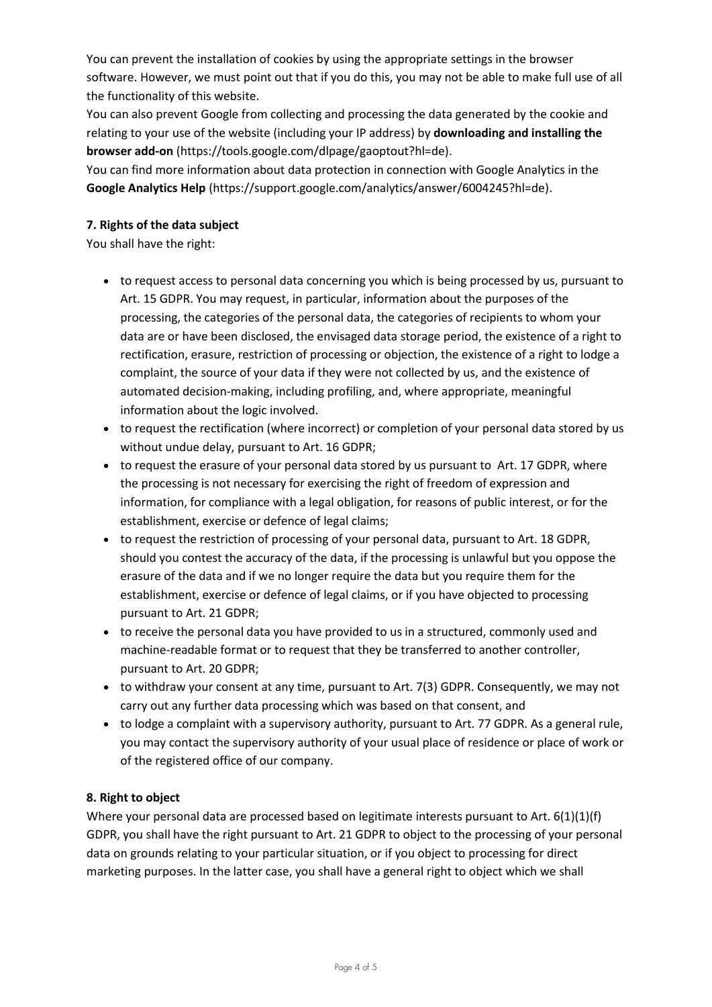You can prevent the installation of cookies by using the appropriate settings in the browser software. However, we must point out that if you do this, you may not be able to make full use of all the functionality of this website.

You can also prevent Google from collecting and processing the data generated by the cookie and relating to your use of the website (including your IP address) by **downloading and installing the browser add-on** [\(https://tools.google.com/dlpage/gaoptout?hl=de\).](https://tools.google.com/dlpage/gaoptout?hl=de)

You can find more information about data protection in connection with Google Analytics in the **Google Analytics Help** [\(https://support.google.com/analytics/answer/6004245?hl=de\).](https://support.google.com/analytics/answer/6004245?hl=de)

# **7. Rights of the data subject**

You shall have the right:

- to request access to personal data concerning you which is being processed by us, pursuant to Art. 15 GDPR. You may request, in particular, information about the purposes of the processing, the categories of the personal data, the categories of recipients to whom your data are or have been disclosed, the envisaged data storage period, the existence of a right to rectification, erasure, restriction of processing or objection, the existence of a right to lodge a complaint, the source of your data if they were not collected by us, and the existence of automated decision-making, including profiling, and, where appropriate, meaningful information about the logic involved.
- to request the rectification (where incorrect) or completion of your personal data stored by us without undue delay, pursuant to Art. 16 GDPR;
- to request the erasure of your personal data stored by us pursuant to Art. 17 GDPR, where the processing is not necessary for exercising the right of freedom of expression and information, for compliance with a legal obligation, for reasons of public interest, or for the establishment, exercise or defence of legal claims;
- to request the restriction of processing of your personal data, pursuant to Art. 18 GDPR, should you contest the accuracy of the data, if the processing is unlawful but you oppose the erasure of the data and if we no longer require the data but you require them for the establishment, exercise or defence of legal claims, or if you have objected to processing pursuant to Art. 21 GDPR;
- to receive the personal data you have provided to us in a structured, commonly used and machine-readable format or to request that they be transferred to another controller, pursuant to Art. 20 GDPR;
- $\bullet$  to withdraw your consent at any time, pursuant to Art. 7(3) GDPR. Consequently, we may not carry out any further data processing which was based on that consent, and
- to lodge a complaint with a supervisory authority, pursuant to Art. 77 GDPR. As a general rule, you may contact the supervisory authority of your usual place of residence or place of work or of the registered office of our company.

## **8. Right to object**

Where your personal data are processed based on legitimate interests pursuant to Art. 6(1)(1)(f) GDPR, you shall have the right pursuant to Art. 21 GDPR to object to the processing of your personal data on grounds relating to your particular situation, or if you object to processing for direct marketing purposes. In the latter case, you shall have a general right to object which we shall